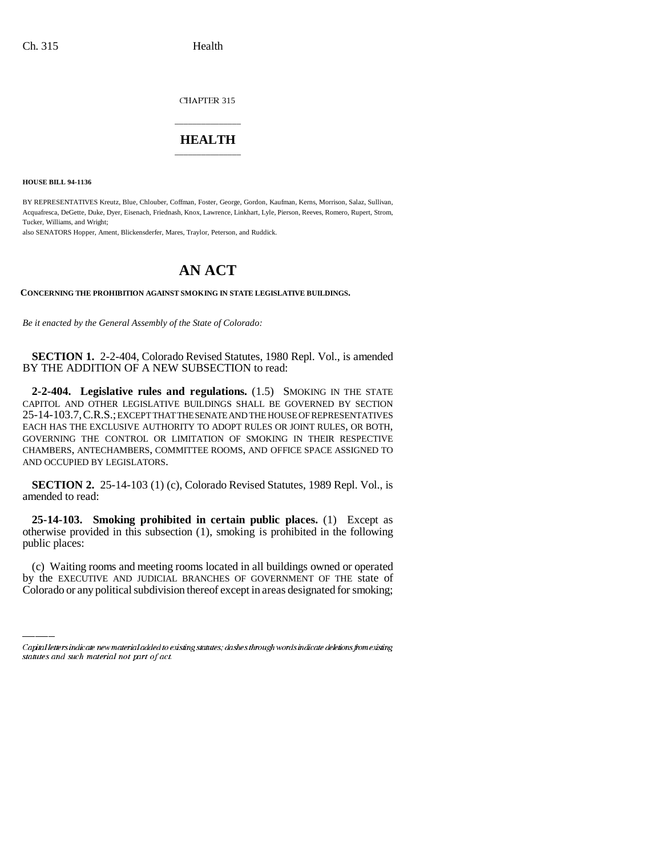CHAPTER 315

## \_\_\_\_\_\_\_\_\_\_\_\_\_\_\_ **HEALTH** \_\_\_\_\_\_\_\_\_\_\_\_\_\_\_

**HOUSE BILL 94-1136**

BY REPRESENTATIVES Kreutz, Blue, Chlouber, Coffman, Foster, George, Gordon, Kaufman, Kerns, Morrison, Salaz, Sullivan, Acquafresca, DeGette, Duke, Dyer, Eisenach, Friednash, Knox, Lawrence, Linkhart, Lyle, Pierson, Reeves, Romero, Rupert, Strom, Tucker, Williams, and Wright;

also SENATORS Hopper, Ament, Blickensderfer, Mares, Traylor, Peterson, and Ruddick.

## **AN ACT**

**CONCERNING THE PROHIBITION AGAINST SMOKING IN STATE LEGISLATIVE BUILDINGS.**

*Be it enacted by the General Assembly of the State of Colorado:*

**SECTION 1.** 2-2-404, Colorado Revised Statutes, 1980 Repl. Vol., is amended BY THE ADDITION OF A NEW SUBSECTION to read:

**2-2-404. Legislative rules and regulations.** (1.5) SMOKING IN THE STATE CAPITOL AND OTHER LEGISLATIVE BUILDINGS SHALL BE GOVERNED BY SECTION 25-14-103.7,C.R.S.; EXCEPT THAT THE SENATE AND THE HOUSE OF REPRESENTATIVES EACH HAS THE EXCLUSIVE AUTHORITY TO ADOPT RULES OR JOINT RULES, OR BOTH, GOVERNING THE CONTROL OR LIMITATION OF SMOKING IN THEIR RESPECTIVE CHAMBERS, ANTECHAMBERS, COMMITTEE ROOMS, AND OFFICE SPACE ASSIGNED TO AND OCCUPIED BY LEGISLATORS.

**SECTION 2.** 25-14-103 (1) (c), Colorado Revised Statutes, 1989 Repl. Vol., is amended to read:

**25-14-103. Smoking prohibited in certain public places.** (1) Except as otherwise provided in this subsection (1), smoking is prohibited in the following public places:

(c) Waiting rooms and meeting rooms located in all buildings owned or operated by the EXECUTIVE AND JUDICIAL BRANCHES OF GOVERNMENT OF THE state of Colorado or any political subdivision thereof except in areas designated for smoking;

Capital letters indicate new material added to existing statutes; dashes through words indicate deletions from existing statutes and such material not part of act.